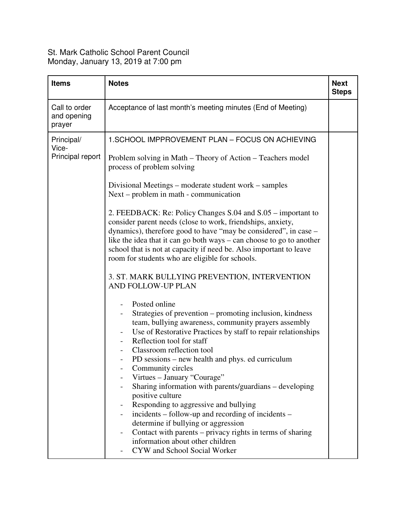## St. Mark Catholic School Parent Council Monday, January 13, 2019 at 7:00 pm

| <b>Items</b>                            | <b>Notes</b>                                                                                                                                                                                                                                                                                                                                                                                                                                                                                                                                                                                                                                                                                                                                                                                                                                                                                                                                                                                                                                                                                                                                                                                                                                                                                                                                                                                                                                                | <b>Next</b><br><b>Steps</b> |
|-----------------------------------------|-------------------------------------------------------------------------------------------------------------------------------------------------------------------------------------------------------------------------------------------------------------------------------------------------------------------------------------------------------------------------------------------------------------------------------------------------------------------------------------------------------------------------------------------------------------------------------------------------------------------------------------------------------------------------------------------------------------------------------------------------------------------------------------------------------------------------------------------------------------------------------------------------------------------------------------------------------------------------------------------------------------------------------------------------------------------------------------------------------------------------------------------------------------------------------------------------------------------------------------------------------------------------------------------------------------------------------------------------------------------------------------------------------------------------------------------------------------|-----------------------------|
| Call to order<br>and opening<br>prayer  | Acceptance of last month's meeting minutes (End of Meeting)                                                                                                                                                                                                                                                                                                                                                                                                                                                                                                                                                                                                                                                                                                                                                                                                                                                                                                                                                                                                                                                                                                                                                                                                                                                                                                                                                                                                 |                             |
| Principal/<br>Vice-<br>Principal report | 1. SCHOOL IMPPROVEMENT PLAN - FOCUS ON ACHIEVING<br>Problem solving in Math – Theory of Action – Teachers model<br>process of problem solving<br>Divisional Meetings – moderate student work – samples<br>Next – problem in math - communication<br>2. FEEDBACK: Re: Policy Changes S.04 and S.05 – important to<br>consider parent needs (close to work, friendships, anxiety,<br>dynamics), therefore good to have "may be considered", in case –<br>like the idea that it can go both ways $-$ can choose to go to another<br>school that is not at capacity if need be. Also important to leave<br>room for students who are eligible for schools.<br>3. ST. MARK BULLYING PREVENTION, INTERVENTION<br>AND FOLLOW-UP PLAN<br>Posted online<br>Strategies of prevention – promoting inclusion, kindness<br>team, bullying awareness, community prayers assembly<br>Use of Restorative Practices by staff to repair relationships<br>Reflection tool for staff<br>Classroom reflection tool<br>PD sessions – new health and phys. ed curriculum<br>Community circles<br>Virtues - January "Courage"<br>Sharing information with parents/guardians – developing<br>positive culture<br>Responding to aggressive and bullying<br>incidents – follow-up and recording of incidents –<br>determine if bullying or aggression<br>Contact with parents – privacy rights in terms of sharing<br>information about other children<br>CYW and School Social Worker |                             |